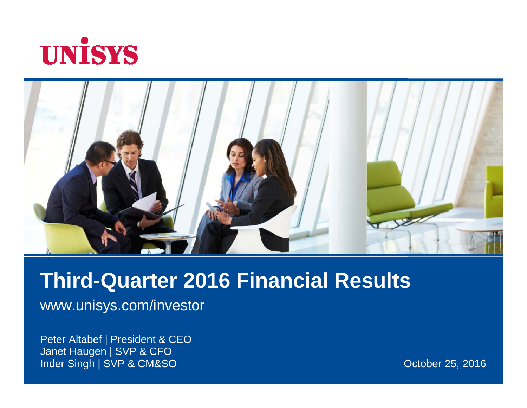



### **Third-Quarter 2016 Financial Results**

www.unisys.com/investor

Peter Altabef | President & CEO Janet Haugen | SVP & CFO Inder Singh | SVP & CM&SO

October 25, 2016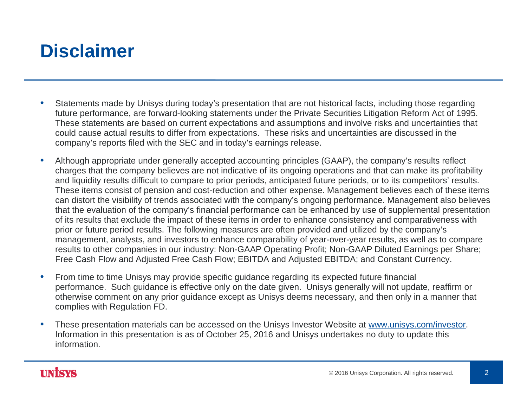### **Disclaimer**

- $\bullet$  Statements made by Unisys during today's presentation that are not historical facts, including those regarding future performance, are forward-looking statements under the Private Securities Litigation Reform Act of 1995. These statements are based on current expectations and assumptions and involve risks and uncertainties that could cause actual results to differ from expectations. These risks and uncertainties are discussed in the company's reports filed with the SEC and in today's earnings release.
- • Although appropriate under generally accepted accounting principles (GAAP), the company's results reflect charges that the company believes are not indicative of its ongoing operations and that can make its profitability and liquidity results difficult to compare to prior periods, anticipated future periods, or to its competitors' results. These items consist of pension and cost-reduction and other expense. Management believes each of these items can distort the visibility of trends associated with the company's ongoing performance. Management also believes that the evaluation of the company's financial performance can be enhanced by use of supplemental presentation of its results that exclude the impact of these items in order to enhance consistency and comparativeness with prior or future period results. The following measures are often provided and utilized by the company's management, analysts, and investors to enhance comparability of year-over-year results, as well as to compare results to other companies in our industry: Non-GAAP Operating Profit; Non-GAAP Diluted Earnings per Share; Free Cash Flow and Adjusted Free Cash Flow; EBITDA and Adjusted EBITDA; and Constant Currency.
- $\bullet$  From time to time Unisys may provide specific guidance regarding its expected future financial performance. Such guidance is effective only on the date given. Unisys generally will not update, reaffirm or otherwise comment on any prior guidance except as Unisys deems necessary, and then only in a manner that complies with Regulation FD.
- • These presentation materials can be accessed on the Unisys Investor Website at www.unisys.com/investor. Information in this presentation is as of October 25, 2016 and Unisys undertakes no duty to update this information.

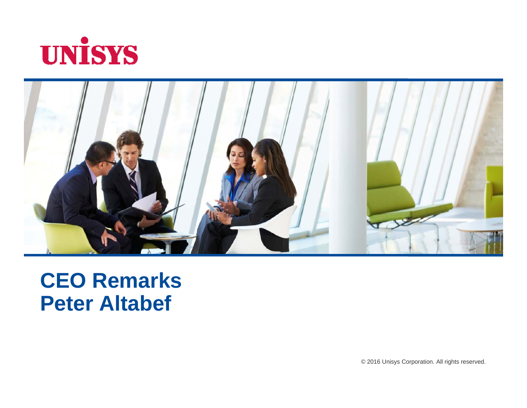



# **CEO Remarks Peter Altabef**

© 2016 Unisys Corporation. All rights reserved.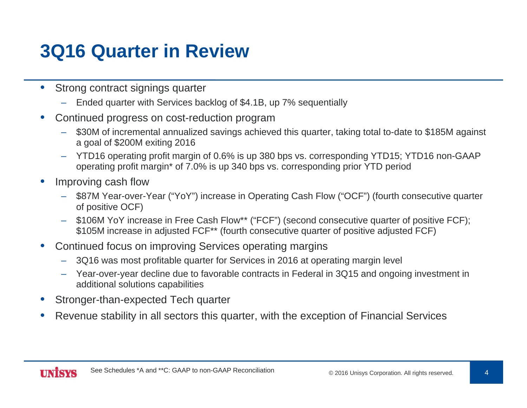### **3Q16 Quarter in Review**

- • Strong contract signings quarter
	- Ended quarter with Services backlog of \$4.1B, up 7% sequentially
- • Continued progress on cost-reduction program
	- \$30M of incremental annualized savings achieved this quarter, taking total to-date to \$185M against a goal of \$200M exiting 2016
	- YTD16 operating profit margin of 0.6% is up 380 bps vs. corresponding YTD15; YTD16 non-GAAP operating profit margin\* of 7.0% is up 340 bps vs. corresponding prior YTD period
- • Improving cash flow
	- \$87M Year-over-Year ("YoY") increase in Operating Cash Flow ("OCF") (fourth consecutive quarter of positive OCF)
	- \$106M YoY increase in Free Cash Flow\*\* ("FCF") (second consecutive quarter of positive FCF); \$105M increase in adjusted FCF\*\* (fourth consecutive quarter of positive adjusted FCF)
- • Continued focus on improving Services operating margins
	- 3Q16 was most profitable quarter for Services in 2016 at operating margin level
	- Year-over-year decline due to favorable contracts in Federal in 3Q15 and ongoing investment in additional solutions capabilities
- •Stronger-than-expected Tech quarter
- •Revenue stability in all sectors this quarter, with the exception of Financial Services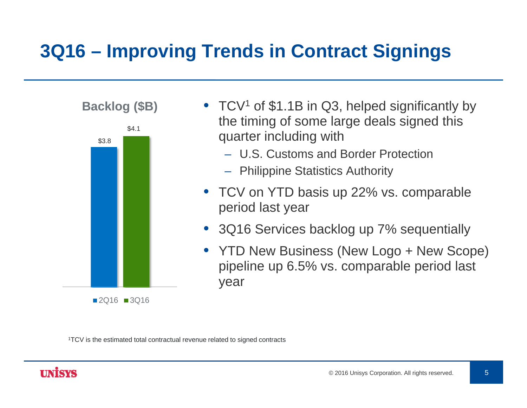### **3Q16 – Improving Trends in Contract Signings**



 $2Q16$  3Q16

- TCV<sup>1</sup> of \$1.1B in Q3, helped significantly by the timing of some large deals signed this quarter including with
	- U.S. Customs and Border Protection
	- Philippine Statistics Authority
- TCV on YTD basis up 22% vs. comparable period last year
- 3Q16 Services backlog up 7% sequentially
- YTD New Business (New Logo + New Scope) pipeline up 6.5% vs. comparable period last year

1TCV is the estimated total contractual revenue related to signed contracts

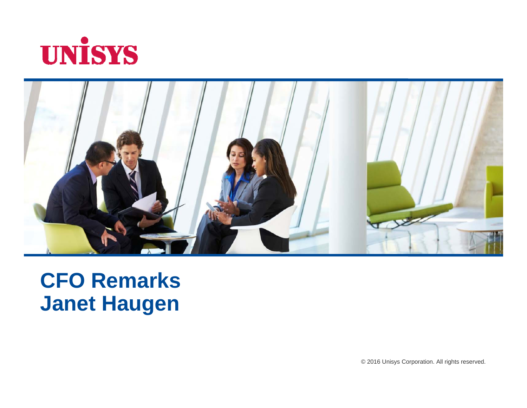



# **CFO Remarks Janet Haugen**

© 2016 Unisys Corporation. All rights reserved.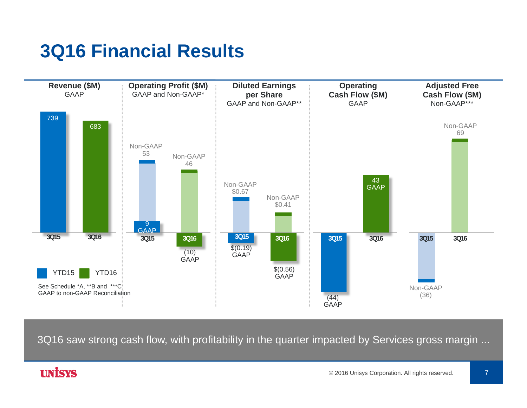# **3Q16 Financial Results**



3Q16 saw strong cash flow, with profitability in the quarter impacted by Services gross margin ...

#### **UNISYS**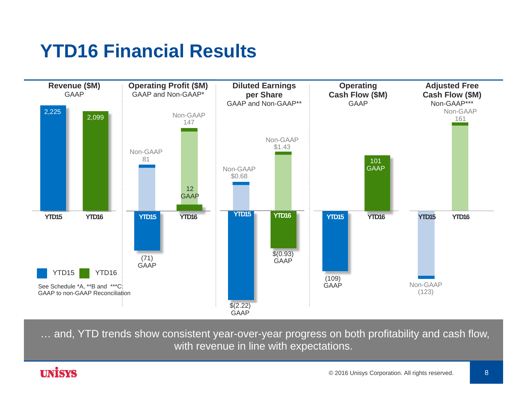# **YTD16 Financial Results**



… and, YTD trends show consistent year-over-year progress on both profitability and cash flow, with revenue in line with expectations.

#### **UNİSYS**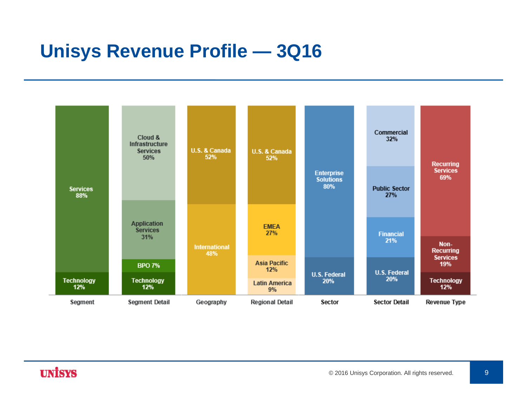### **Unisys Revenue Profile — 3Q16**

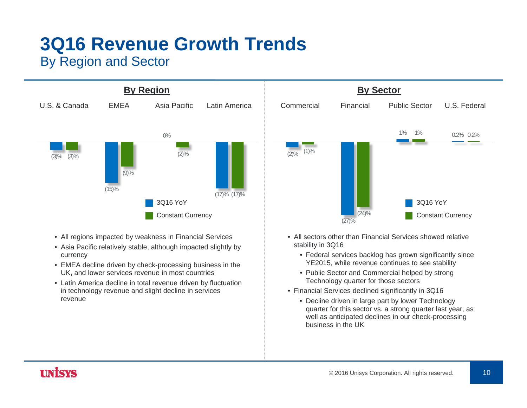# **3Q16 Revenue Growth Trends**

#### By Region and Sector



- All regions impacted by weakness in Financial Services
- Asia Pacific relatively stable, although impacted slightly by currency
- EMEA decline driven by check-processing business in the UK, and lower services revenue in most countries
- Latin America decline in total revenue driven by fluctuation in technology revenue and slight decline in services revenue



- All sectors other than Financial Services showed relative stability in 3Q16
	- Federal services backlog has grown significantly since YE2015, while revenue continues to see stability
	- Public Sector and Commercial helped by strong Technology quarter for those sectors
- Financial Services declined significantly in 3Q16
	- Decline driven in large part by lower Technology quarter for this sector vs. a strong quarter last year, as well as anticipated declines in our check-processing business in the UK

### **UNISYS**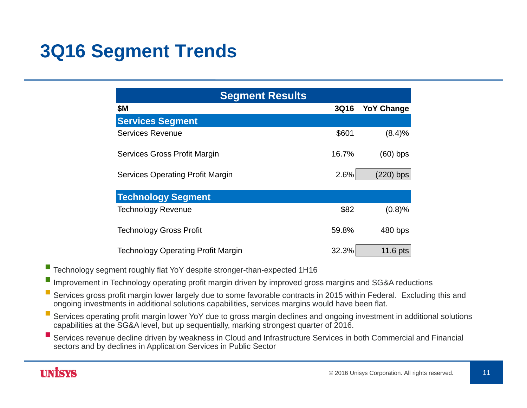### **3Q16 Segment Trends**

| <b>Segment Results</b>                    |             |                   |  |  |  |  |
|-------------------------------------------|-------------|-------------------|--|--|--|--|
| <b>\$M</b>                                | <b>3Q16</b> | <b>YoY Change</b> |  |  |  |  |
| <b>Services Segment</b>                   |             |                   |  |  |  |  |
| <b>Services Revenue</b>                   | \$601       | (8.4)%            |  |  |  |  |
| Services Gross Profit Margin              | 16.7%       | $(60)$ bps        |  |  |  |  |
| <b>Services Operating Profit Margin</b>   | 2.6%        | (220) bps         |  |  |  |  |
| <b>Technology Segment</b>                 |             |                   |  |  |  |  |
| <b>Technology Revenue</b>                 | \$82        | (0.8)%            |  |  |  |  |
| <b>Technology Gross Profit</b>            | 59.8%       | 480 bps           |  |  |  |  |
| <b>Technology Operating Profit Margin</b> | 32.3%       | 11.6 pts          |  |  |  |  |

Technology segment roughly flat YoY despite stronger-than-expected 1H16

Improvement in Technology operating profit margin driven by improved gross margins and SG&A reductions

 Services gross profit margin lower largely due to some favorable contracts in 2015 within Federal. Excluding this and ongoing investments in additional solutions capabilities, services margins would have been flat.

 $\mathcal{L}_{\mathcal{A}}$  Services operating profit margin lower YoY due to gross margin declines and ongoing investment in additional solutions capabilities at the SG&A level, but up sequentially, marking strongest quarter of 2016.

 $\mathbb{Z}^2$  Services revenue decline driven by weakness in Cloud and Infrastructure Services in both Commercial and Financial sectors and by declines in Application Services in Public Sector

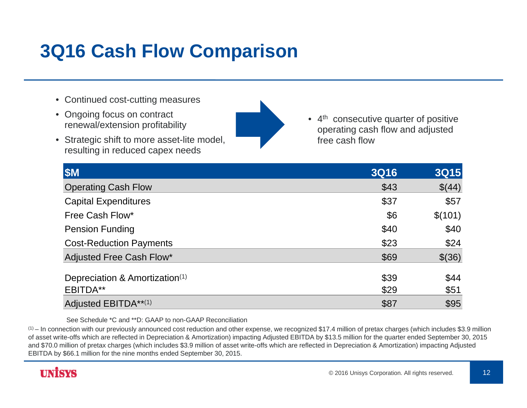### **3Q16 Cash Flow Comparison**

- Continued cost-cutting measures
- Ongoing focus on contract renewal/extension profitability
- Strategic shift to more asset-lite model, resulting in reduced capex needs
- 
- 4<sup>th</sup> consecutive quarter of positive operating cash flow and adjusted free cash flow

| \$M                                                    | <b>3Q16</b>  | <b>3Q15</b>  |
|--------------------------------------------------------|--------------|--------------|
| <b>Operating Cash Flow</b>                             | \$43         | \$(44)       |
| <b>Capital Expenditures</b>                            | \$37         | \$57         |
| Free Cash Flow*                                        | \$6          | \$(101)      |
| <b>Pension Funding</b>                                 | \$40         | \$40         |
| <b>Cost-Reduction Payments</b>                         | \$23         | \$24         |
| Adjusted Free Cash Flow*                               | \$69         | \$(36)       |
| Depreciation & Amortization <sup>(1)</sup><br>EBITDA** | \$39<br>\$29 | \$44<br>\$51 |
| Adjusted EBITDA**(1)                                   | \$87         | \$95         |

See Schedule \*C and \*\*D: GAAP to non-GAAP Reconciliation

 $\rm ^{(1)}$  – In connection with our previously announced cost reduction and other expense, we recognized \$17.4 million of pretax charges (which includes \$3.9 million of asset write-offs which are reflected in Depreciation & Amortization) impacting Adjusted EBITDA by \$13.5 million for the quarter ended September 30, 2015 and \$70.0 million of pretax charges (which includes \$3.9 million of asset write-offs which are reflected in Depreciation & Amortization) impacting Adjusted EBITDA by \$66.1 million for the nine months ended September 30, 2015.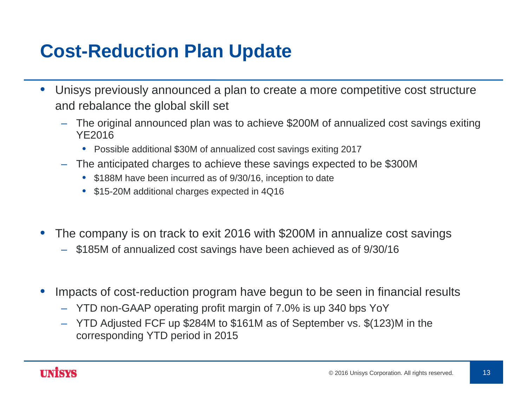### **Cost-Reduction Plan Update**

- • Unisys previously announced a plan to create a more competitive cost structure and rebalance the global skill set
	- The original announced plan was to achieve \$200M of annualized cost savings exiting YE2016
		- Possible additional \$30M of annualized cost savings exiting 2017
	- The anticipated charges to achieve these savings expected to be \$300M
		- \$188M have been incurred as of 9/30/16, inception to date
		- \$15-20M additional charges expected in 4Q16
- • The company is on track to exit 2016 with \$200M in annualize cost savings
	- \$185M of annualized cost savings have been achieved as of 9/30/16
- • Impacts of cost-reduction program have begun to be seen in financial results
	- YTD non-GAAP operating profit margin of 7.0% is up 340 bps YoY
	- YTD Adjusted FCF up \$284M to \$161M as of September vs. \$(123)M in the corresponding YTD period in 2015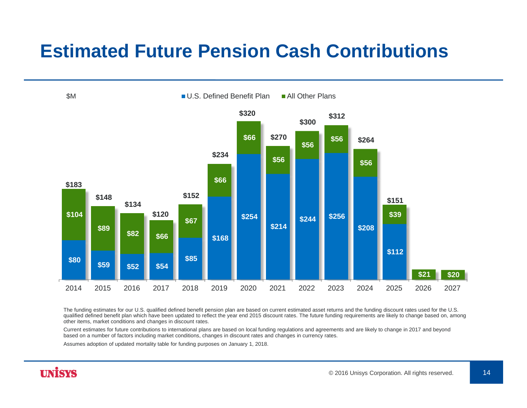### **Estimated Future Pension Cash Contributions**



The funding estimates for our U.S. qualified defined benefit pension plan are based on current estimated asset returns and the funding discount rates used for the U.S. qualified defined benefit plan which have been updated to reflect the year end 2015 discount rates. The future funding requirements are likely to change based on, among other items, market conditions and changes in discount rates.

Current estimates for future contributions to international plans are based on local funding regulations and agreements and are likely to change in 2017 and beyond based on a number of factors including market conditions, changes in discount rates and changes in currency rates.

Assumes adoption of updated mortality table for funding purposes on January 1, 2018.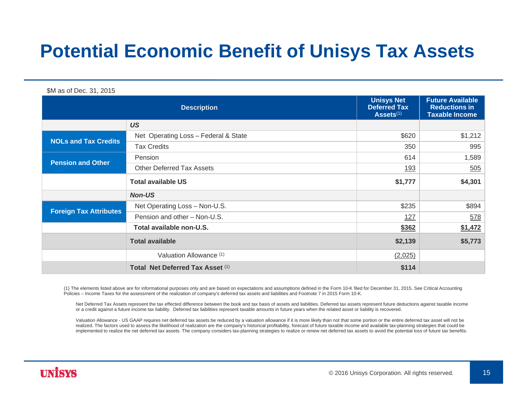### **Potential Economic Benefit of Unisys Tax Assets**

\$M as of Dec. 31, 2015

| <b>Description</b>            |                                      | <b>Unisys Net</b><br><b>Deferred Tax</b><br>Assets <sup>(1)</sup> | <b>Future Available</b><br><b>Reductions in</b><br><b>Taxable Income</b> |
|-------------------------------|--------------------------------------|-------------------------------------------------------------------|--------------------------------------------------------------------------|
|                               | <b>US</b>                            |                                                                   |                                                                          |
| <b>NOLs and Tax Credits</b>   | Net Operating Loss - Federal & State | \$620                                                             | \$1,212                                                                  |
|                               | <b>Tax Credits</b>                   | 350                                                               | 995                                                                      |
| <b>Pension and Other</b>      | Pension                              | 614                                                               | 1,589                                                                    |
|                               | <b>Other Deferred Tax Assets</b>     | <u>193</u>                                                        | 505                                                                      |
|                               | <b>Total available US</b>            | \$1,777                                                           | \$4,301                                                                  |
|                               | <b>Non-US</b>                        |                                                                   |                                                                          |
|                               | Net Operating Loss - Non-U.S.        | \$235                                                             | \$894                                                                    |
| <b>Foreign Tax Attributes</b> | Pension and other - Non-U.S.         | <u>127</u>                                                        | 578                                                                      |
|                               | Total available non-U.S.             | \$362                                                             | \$1,472                                                                  |
|                               | <b>Total available</b>               | \$2,139                                                           | \$5,773                                                                  |
|                               | Valuation Allowance (1)              | (2,025)                                                           |                                                                          |
|                               | Total Net Deferred Tax Asset (1)     | \$114                                                             |                                                                          |

(1) The elements listed above are for informational purposes only and are based on expectations and assumptions defined in the Form 10-K filed for December 31, 2015. See Critical Accounting Policies – Income Taxes for the assessment of the realization of company's deferred tax assets and liabilities and Footnote 7 in 2015 Form 10-K.

Net Deferred Tax Assets represent the tax effected difference between the book and tax basis of assets and liabilities. Deferred tax assets represent future deductions against taxable income or a credit against a future income tax liability. Deferred tax liabilities represent taxable amounts in future years when the related asset or liability is recovered.

Valuation Allowance - US GAAP requires net deferred tax assets be reduced by a valuation allowance if it is more likely than not that some portion or the entire deferred tax asset will not be realized. The factors used to assess the likelihood of realization are the company's historical profitability, forecast of future taxable income and available tax-planning strategies that could be implemented to realize the net deferred tax assets. The company considers tax-planning strategies to realize or renew net deferred tax assets to avoid the potential loss of future tax benefits.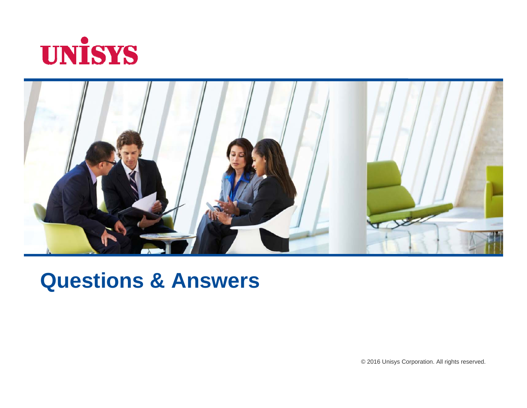



# **Questions & Answers**

© 2016 Unisys Corporation. All rights reserved.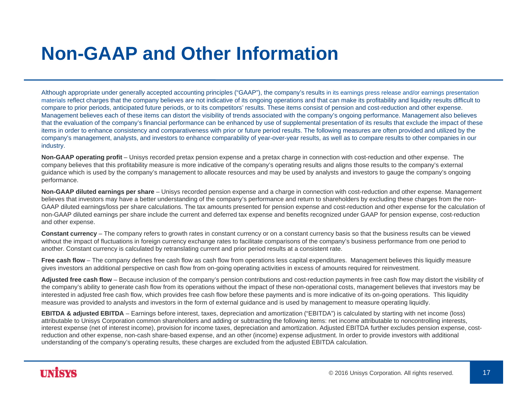### **Non-GAAP and Other Information**

Although appropriate under generally accepted accounting principles ("GAAP"), the company's results in its earnings press release and/or earnings presentation materials reflect charges that the company believes are not indicative of its ongoing operations and that can make its profitability and liquidity results difficult to compare to prior periods, anticipated future periods, or to its competitors' results. These items consist of pension and cost-reduction and other expense. Management believes each of these items can distort the visibility of trends associated with the company's ongoing performance. Management also believes that the evaluation of the company's financial performance can be enhanced by use of supplemental presentation of its results that exclude the impact of these items in order to enhance consistency and comparativeness with prior or future period results. The following measures are often provided and utilized by the company's management, analysts, and investors to enhance comparability of year-over-year results, as well as to compare results to other companies in our industry.

**Non-GAAP operating profit** – Unisys recorded pretax pension expense and a pretax charge in connection with cost-reduction and other expense. The company believes that this profitability measure is more indicative of the company's operating results and aligns those results to the company's external guidance which is used by the company's management to allocate resources and may be used by analysts and investors to gauge the company's ongoing performance.

**Non-GAAP diluted earnings per share** – Unisys recorded pension expense and a charge in connection with cost-reduction and other expense. Management believes that investors may have a better understanding of the company's performance and return to shareholders by excluding these charges from the non-GAAP diluted earnings/loss per share calculations. The tax amounts presented for pension expense and cost-reduction and other expense for the calculation of non-GAAP diluted earnings per share include the current and deferred tax expense and benefits recognized under GAAP for pension expense, cost-reduction and other expense.

**Constant currency** – The company refers to growth rates in constant currency or on a constant currency basis so that the business results can be viewed without the impact of fluctuations in foreign currency exchange rates to facilitate comparisons of the company's business performance from one period to another. Constant currency is calculated by retranslating current and prior period results at a consistent rate.

**Free cash flow** – The company defines free cash flow as cash flow from operations less capital expenditures. Management believes this liquidly measure gives investors an additional perspective on cash flow from on-going operating activities in excess of amounts required for reinvestment.

**Adjusted free cash flow** – Because inclusion of the company's pension contributions and cost-reduction payments in free cash flow may distort the visibility of the company's ability to generate cash flow from its operations without the impact of these non-operational costs, management believes that investors may be interested in adjusted free cash flow, which provides free cash flow before these payments and is more indicative of its on-going operations. This liquidity measure was provided to analysts and investors in the form of external guidance and is used by management to measure operating liquidly.

**EBITDA & adjusted EBITDA** – Earnings before interest, taxes, depreciation and amortization ("EBITDA") is calculated by starting with net income (loss) attributable to Unisys Corporation common shareholders and adding or subtracting the following items: net income attributable to noncontrolling interests, interest expense (net of interest income), provision for income taxes, depreciation and amortization. Adjusted EBITDA further excludes pension expense, costreduction and other expense, non-cash share-based expense, and an other (income) expense adjustment. In order to provide investors with additional understanding of the company's operating results, these charges are excluded from the adjusted EBITDA calculation.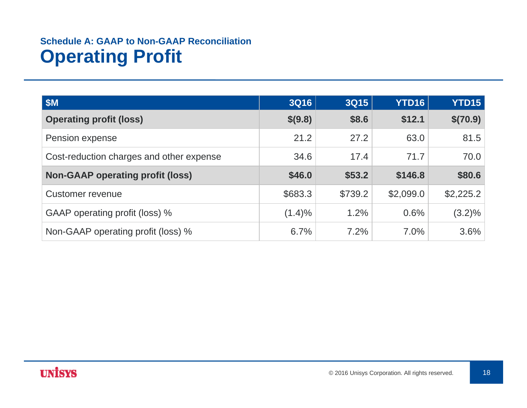### **Schedule A: GAAP to Non-GAAP ReconciliationOperating Profit**

| \$M\$                                    | <b>3Q16</b> | <b>3Q15</b> | <b>YTD16</b> | <b>YTD15</b> |
|------------------------------------------|-------------|-------------|--------------|--------------|
| <b>Operating profit (loss)</b>           | \$(9.8)     | \$8.6       | \$12.1       | \$(70.9)     |
| Pension expense                          | 21.2        | 27.2        | 63.0         | 81.5         |
| Cost-reduction charges and other expense | 34.6        | 17.4        | 71.7         | 70.0         |
| <b>Non-GAAP operating profit (loss)</b>  | \$46.0      | \$53.2      | \$146.8      | \$80.6       |
| Customer revenue                         | \$683.3     | \$739.2     | \$2,099.0    | \$2,225.2    |
| GAAP operating profit (loss) %           | $(1.4)\%$   | 1.2%        | 0.6%         | $(3.2)\%$    |
| Non-GAAP operating profit (loss) %       | 6.7%        | 7.2%        | $7.0\%$      | 3.6%         |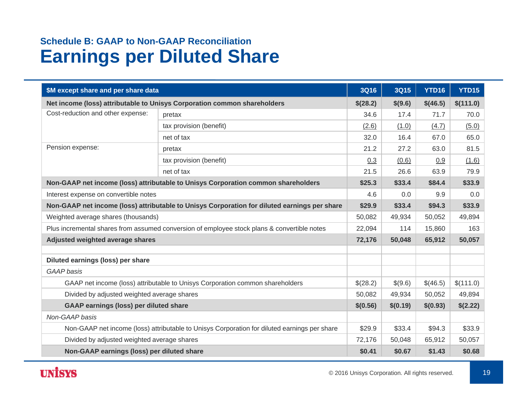#### **Schedule B: GAAP to Non-GAAP Reconciliation Earnings per Diluted Share**

| \$M except share and per share data                                                          |                                                                                              | <b>3Q16</b> | 3Q15     | YTD16    | <b>YTD15</b> |
|----------------------------------------------------------------------------------------------|----------------------------------------------------------------------------------------------|-------------|----------|----------|--------------|
| Net income (loss) attributable to Unisys Corporation common shareholders                     |                                                                                              | \$(28.2)    | \$(9.6)  | \$(46.5) | \$(111.0)    |
| Cost-reduction and other expense:                                                            | pretax                                                                                       | 34.6        | 17.4     | 71.7     | 70.0         |
|                                                                                              | tax provision (benefit)                                                                      | (2.6)       | (1.0)    | (4.7)    | (5.0)        |
|                                                                                              | net of tax                                                                                   | 32.0        | 16.4     | 67.0     | 65.0         |
| Pension expense:                                                                             | pretax                                                                                       | 21.2        | 27.2     | 63.0     | 81.5         |
|                                                                                              | tax provision (benefit)                                                                      | 0.3         | (0.6)    | 0.9      | (1.6)        |
|                                                                                              | net of tax                                                                                   | 21.5        | 26.6     | 63.9     | 79.9         |
|                                                                                              | Non-GAAP net income (loss) attributable to Unisys Corporation common shareholders            | \$25.3      | \$33.4   | \$84.4   | \$33.9       |
| Interest expense on convertible notes                                                        |                                                                                              | 4.6         | 0.0      | 9.9      | 0.0          |
|                                                                                              | Non-GAAP net income (loss) attributable to Unisys Corporation for diluted earnings per share | \$29.9      | \$33.4   | \$94.3   | \$33.9       |
| Weighted average shares (thousands)                                                          |                                                                                              | 50,082      | 49,934   | 50,052   | 49,894       |
| Plus incremental shares from assumed conversion of employee stock plans & convertible notes  |                                                                                              | 22,094      | 114      | 15,860   | 163          |
| Adjusted weighted average shares                                                             |                                                                                              | 72,176      | 50,048   | 65,912   | 50,057       |
| Diluted earnings (loss) per share                                                            |                                                                                              |             |          |          |              |
| <b>GAAP</b> basis                                                                            |                                                                                              |             |          |          |              |
|                                                                                              | GAAP net income (loss) attributable to Unisys Corporation common shareholders                | \$(28.2)    | \$(9.6)  | \$(46.5) | \$(111.0)    |
| Divided by adjusted weighted average shares                                                  |                                                                                              | 50,082      | 49,934   | 50,052   | 49,894       |
| <b>GAAP earnings (loss) per diluted share</b>                                                |                                                                                              | \$(0.56)    | \$(0.19) | \$(0.93) | \$(2.22)     |
| Non-GAAP basis                                                                               |                                                                                              |             |          |          |              |
| Non-GAAP net income (loss) attributable to Unisys Corporation for diluted earnings per share |                                                                                              | \$29.9      | \$33.4   | \$94.3   | \$33.9       |
| Divided by adjusted weighted average shares                                                  |                                                                                              | 72,176      | 50,048   | 65,912   | 50,057       |
| Non-GAAP earnings (loss) per diluted share                                                   |                                                                                              | \$0.41      | \$0.67   | \$1.43   | \$0.68       |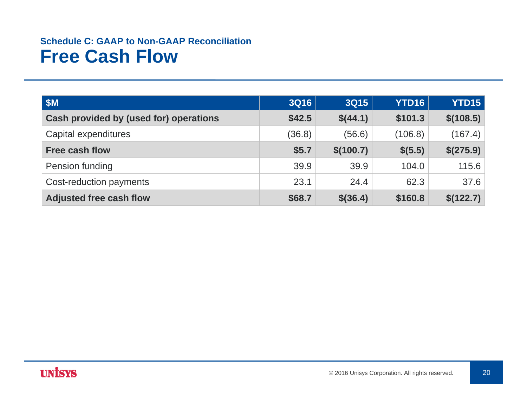#### **Schedule C: GAAP to Non-GAAP ReconciliationFree Cash Flow**

| \$M\$                                  | <b>3Q16</b> | <b>3Q15</b> | YTD16   | <b>YTD15</b> |
|----------------------------------------|-------------|-------------|---------|--------------|
| Cash provided by (used for) operations | \$42.5      | \$(44.1)    | \$101.3 | \$(108.5)    |
| Capital expenditures                   | (36.8)      | (56.6)      | (106.8) | (167.4)      |
| <b>Free cash flow</b>                  | \$5.7       | \$(100.7)   | \$(5.5) | \$(275.9)    |
| Pension funding                        | 39.9        | 39.9        | 104.0   | 115.6        |
| Cost-reduction payments                | 23.1        | 24.4        | 62.3    | 37.6         |
| <b>Adjusted free cash flow</b>         | \$68.7      | $$$ (36.4)  | \$160.8 | \$(122.7)    |